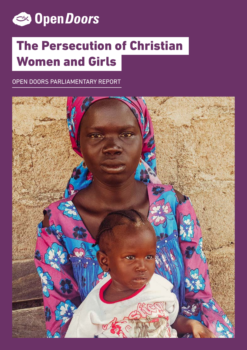

# The Persecution of Christian Women and Girls

OPEN DOORS PARLIAMENTARY REPORT

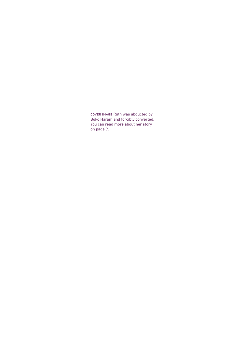cover image Ruth was abducted by Boko Haram and forcibly converted. You can read more about her story on page 9.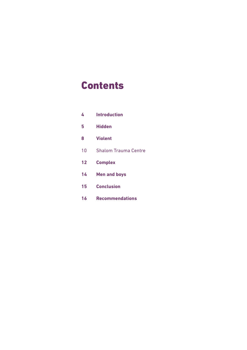### **Contents**

| 4  | <b>Introduction</b>         |  |
|----|-----------------------------|--|
| 5  | Hidden                      |  |
| 8  | <b>Violent</b>              |  |
| 10 | <b>Shalom Trauma Centre</b> |  |
| 12 | <b>Complex</b>              |  |
| 14 | <b>Men and boys</b>         |  |
| 15 | <b>Conclusion</b>           |  |
| 16 | <b>Recommendations</b>      |  |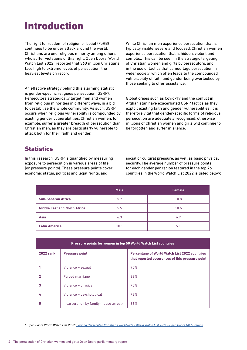### Introduction

The right to freedom of religion or belief (FoRB) continues to be under attack around the world. Christians are one religious minority among others who suffer violations of this right. Open Doors' World Watch List 2022<sup>1</sup> reported that 360 million Christians face high to extreme levels of persecution, the heaviest levels on record.

An effective strategy behind this alarming statistic is gender-specific religious persecution (GSRP). Persecutors strategically target men and women from religious minorities in different ways, in a bid to destabilise the whole community. As such, GSRP occurs when religious vulnerability is compounded by existing gender vulnerabilities. Christian women, for example, suffer a greater breadth of persecution than Christian men, as they are particularly vulnerable to attack both for their faith and gender.

While Christian men experience persecution that is typically visible, severe and focused, Christian women experience persecution that is hidden, violent and complex. This can be seen in the strategic targeting of Christian women and girls by persecutors, and in the use of tactics that camouflage persecution in wider society, which often leads to the compounded vulnerability of faith and gender being overlooked by those seeking to offer assistance.

Global crises such as Covid-19 and the conflict in Afghanistan have exacerbated GSRP tactics as they exploit existing faith and gender vulnerabilities. It is therefore vital that gender-specific forms of religious persecution are adequately recognised, otherwise millions of Christian women and girls will continue to be forgotten and suffer in silence.

### **Statistics**

In this research, GSRP is quantified by measuring exposure to persecution in various areas of life (or pressure points). These pressure points cover economic status, political and legal rights, and

social or cultural pressure, as well as basic physical security. The average number of pressure points for each gender per region featured in the top 76 countries in the World Watch List 2022 is listed below:

|                                     | <b>Male</b> | Female |
|-------------------------------------|-------------|--------|
| <b>Sub-Saharan Africa</b>           | 5.7         | 10.8   |
| <b>Middle East and North Africa</b> | 5.5         | 10.6   |
| <b>Asia</b>                         | 6.3         | 6.9    |
| <b>Latin America</b>                | 10.1        | 5.1    |

| Pressure points for women in top 50 World Watch List countries |                                        |                                                                                                         |  |  |
|----------------------------------------------------------------|----------------------------------------|---------------------------------------------------------------------------------------------------------|--|--|
| <b>2022 rank</b>                                               | <b>Pressure point</b>                  | <b>Percentage of World Watch List 2022 countries</b><br>that reported occurences of this pressure point |  |  |
|                                                                | Violence - sexual                      | 90%                                                                                                     |  |  |
|                                                                | Forced marriage                        | 88%                                                                                                     |  |  |
| 3                                                              | Violence – physical                    | 78%                                                                                                     |  |  |
| 4                                                              | Violence - psychological               | 78%                                                                                                     |  |  |
| 5                                                              | Incarceration by family (house arrest) | 66%                                                                                                     |  |  |

**<sup>1</sup>** *Open Doors World Watch List 2022: [Serving Persecuted Christians Worldwide - World Watch List 2021 - Open Doors UK & Ireland](https://www.opendoorsuk.org/persecution/world-watch-list/)*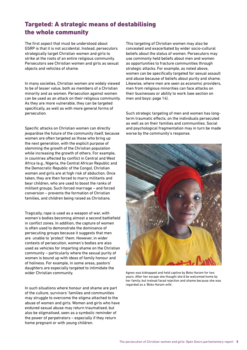### Targeted: A strategic means of destabilising the whole community

The first aspect that must be understood about GSRP is that it is not accidental. Instead, persecutors strategically target Christian women and girls to strike at the roots of an entire religious community. Persecutors see Christian women and girls as sexual objects and vehicles of shame.

In many societies, Christian women are widely viewed to be of lesser value, both as members of a Christian minority and as women. Persecution against women can be used as an attack on their religious community. As they are more vulnerable, they can be targeted specifically, as well as with more general forms of persecution.

Specific attacks on Christian women can directly jeopardise the future of the community itself, because women are often targeted as those who bring up the next generation, with the explicit purpose of stemming the growth of the Christian population while increasing the growth of others. For example, in countries affected by conflict in Central and West Africa (e.g., Nigeria, the Central African Republic and the Democratic Republic of the Congo), Christian women and girls are at high risk of abduction. Once taken, they are then forced to marry militants and bear children, who are used to boost the ranks of militant groups. Such forced marriage – and forced conversion – prevents the formation of Christian families, and children being raised as Christians.

Tragically, rape is used as a weapon of war, with women's bodies becoming almost a second battlefield in conflict zones. In addition, the capture of women is often used to demonstrate the dominance of persecuting groups because it suggests that men are unable to 'protect' them. However, in wider contexts of persecution, women's bodies are also used as vehicles for imparting shame on the Christian community – particularly where the sexual purity of women is bound up with ideas of family honour and of holiness. For example, in some areas, pastors' daughters are especially targeted to intimidate the wider Christian community.

In such situations where honour and shame are part of the culture, survivors' families and communities may struggle to overcome the stigma attached to the abuse of women and girls. Women and girls who have endured sexual abuse may return traumatised, but also be stigmatised, seen as a symbolic reminder of the power of perpetrators – especially if they return home pregnant or with young children.

This targeting of Christian women may also be concealed and exacerbated by wider socio-cultural beliefs about the status of women. Persecutors may use commonly held beliefs about men and women as opportunities to fracture communities through strategic attacks. For example, as noted above, women can be specifically targeted for sexual assault and abuse because of beliefs about purity and shame. Likewise, where men are seen as economic providers, men from religious minorities can face attacks on their businesses or ability to work (see section on men and boys: page 14).

Such strategic targeting of men and women has longterm traumatic effects, on the individuals persecuted as well as on their families and communities. Social and psychological fragmentation may in turn be made worse by the community's response.



Agnes was kidnapped and held captive by Boko Haram for two years. After her escape she thought she'd be welcomed home by her family, but instead faced rejection and shame because she was regarded as a 'Boko Haram wife'.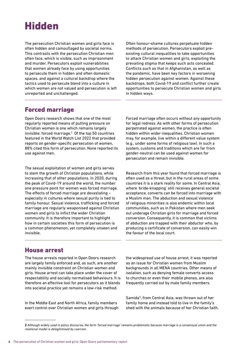## Hidden

The persecution Christian women and girls face is often hidden and camouflaged by societal norms. This contrasts with the persecution Christian men often face, which is visible, such as imprisonment and murder. Persecutors exploit vulnerabilities that women already face by using opportunities to persecute them in hidden and often domestic spaces, and against a cultural backdrop where the tactics used to persecute blend into a culture in which women are not valued and persecution is left unreported and unchallenged.

Often honour-shame cultures perpetuate hidden methods of persecution. Persecutors exploit preexisting cultural inequalities to take opportunities to attack Christian women and girls, exploiting the prevailing stigma that keeps such acts concealed. Conflicts such as that in Afghanistan, as well as the pandemic, have been key factors in worsening hidden persecution against women. Against these backdrops, both Covid-19 and conflict further create opportunities to persecute Christian women and girls in hidden ways.

### Forced marriage

Open Doors research shows that one of the most regularly reported means of putting pressure on Christian women is one which remains largely invisible: forced marriage.<sup>2</sup> Of the top 50 countries featured in the World Watch List 2022 that provided reports on gender-specific persecution of women, 88% cited this form of persecution. None reported its use against men.

The sexual exploitation of women and girls serves to stem the growth of Christian populations, while increasing that of other populations. In 2020, during the peak of Covid-19 around the world, the number one pressure point for women was forced marriage. The effects of forced marriage are devastating – especially in cultures where sexual purity is tied to family honour. Sexual violence, trafficking and forced marriage are regularly weaponised against Christian women and girls to inflict the wider Christian community. It is therefore important to highlight how in certain societies this form of persecution is a common phenomenon, yet completely unseen and invisible.

Forced marriage often occurs without any opportunity for legal redress. As with other forms of persecution perpetrated against women, the practice is often hidden within wider inequalities. Christian women may, for example, live within a different value system (e.g., under some forms of religious law). In such a system, customs and traditions which are far from gender-neutral can be used against women for persecution and remain invisible.

Research from this year found that forced marriage is often used as a threat, but in the rural areas of some countries it is a stark reality for some. In Central Asia, where 'bride-knapping' still receives general societal acceptance, converts can be forced into marriage with a Muslim man. The abduction and sexual violence of religious minorities is also endemic within local communities, such as in Pakistan where men seek out underage Christian girls for marriage and forced conversion. Consequently, it is common that victims of abduction are trapped with their abductor who, by producing a certificate of conversion, can easily win the favour of the local court.

#### House arrest

The house arrests reported in Open Doors research are largely family enforced and, as such, are another mainly invisible constraint on Christian women and girls. House arrest can take place under the cover of respectability and socially normalised behaviours. It is therefore an effective tool for persecutors as it blends into societal practice yet remains a low-risk method.

In the Middle East and North Africa, family members exert control over Christian women and girls through the widespread use of house arrest; it was reported as an issue for Christian women from Muslim backgrounds in all MENA countries. Other means of isolation, such as denying female converts access to churches or even their mobile phones, are also frequently carried out by male family members.

Samida\*, from Central Asia, was thrown out of her family home and instead told to live in the family's shed with the animals because of her Christian faith.

**<sup>2</sup>** *Although widely used in policy discourse, the term 'forced marriage' remains problematic because marriage is a consensual union and the relational model is delegitimised by coercion.*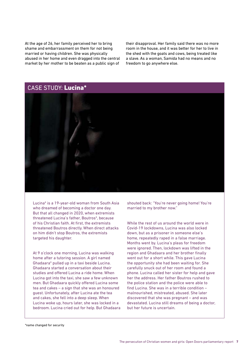At the age of 26, her family perceived her to bring shame and embarrassment on them for not being married or having children. She was physically abused in her home and even dragged into the central market by her mother to be beaten as a public sign of

their disapproval. Her family said there was no more room in the house, and it was better for her to live in the shed with the goats and cows, being treated like a slave. As a woman, Samida had no means and no freedom to go anywhere else.

### CASE STUDY: Lucina\*



Lucina\* is a 19-year-old woman from South Asia who dreamed of becoming a doctor one day. But that all changed in 2020, when extremists threatened Lucina's father, Boutros\*, because of his Christian faith. At first, the extremists threatened Boutros directly. When direct attacks on him didn't stop Boutros, the extremists targeted his daughter.

At 9 o'clock one morning, Lucina was walking home after a tutoring session. A girl named Ghadaara\* pulled up in a taxi beside Lucina. Ghadaara started a conversation about their studies and offered Lucina a ride home. When Lucina got into the taxi, she saw a few unknown men. But Ghadaara quickly offered Lucina some tea and cakes – a sign that she was an honoured guest. Unfortunately, after Lucina ate the tea and cakes, she fell into a deep sleep. When Lucina woke up, hours later, she was locked in a bedroom. Lucina cried out for help. But Ghadaara shouted back: "You're never going home! You're married to my brother now."

While the rest of us around the world were in Covid-19 lockdowns, Lucina was also locked down, but as a prisoner in someone else's home, repeatedly raped in a false marriage. Months went by. Lucina's pleas for freedom were ignored. Then, lockdown was lifted in the region and Ghadaara and her brother finally went out for a short while. This gave Lucina the opportunity she had been waiting for. She carefully snuck out of her room and found a phone. Lucina called her sister for help and gave her the address. Her father Boutros rushed to the police station and the police were able to find Lucina. She was in a terrible condition – malnourished, mistreated, abused. She later discovered that she was pregnant – and was devastated. Lucina still dreams of being a doctor, but her future is uncertain.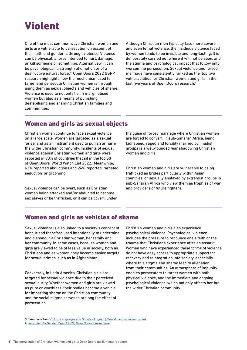# Violent

One of the most common ways Christian women and girls are vulnerable to persecution on account of their faith and gender is through violence. Violence can be physical: a force intended to hurt, damage, or kill someone or something. Alternatively, it can be psychological: a strength of emotion or of a destructive natural force.<sup>3</sup> Open Doors 2022 GSRP research highlights how the mechanism used to target and persecute Christian women is through using them as sexual objects and vehicles of shame. Violence is used to not only harm marginalised women but also as a means of punishing, destabilising and shaming Christian families and communities.

Although Christian men typically face more severe and even lethal violence, the insidious violence faced by women tends to be invisible and long-lasting. It is deliberately carried out where it will not be seen, and the stigma and psychological impact that follow only worsen the persecution. Sexual violence and forced marriage have consistently ranked as the top two vulnerabilities for Christian women and girls in the last five years of Open Doors research.<sup>4</sup>

#### Women and girls as sexual objects

Christian women continue to face sexual violence on a large scale. Women are targeted as a sexual 'prize' and as an instrument used to punish or harm the wider Christian community. Incidents of sexual violence against Christian women and girls were reported in 90% of countries that sit in the top 50 of Open Doors' World Watch List 2022. Meanwhile, 62% reported abductions and 24% reported 'targeted seduction' or grooming.

Sexual violence can be overt, such as Christian women being attacked and/or abducted to become sex slaves or be trafficked, or it can be covert, under the guise of forced marriage where Christian women are forced to convert. In sub-Saharan Africa, being kidnapped, raped and forcibly married by jihadist groups is a well-founded fear shadowing Christian women and girls.

Christian women and girls are vulnerable to being trafficked as brides particularly within Asian countries, or sexually enslaved by extremist groups in sub-Saharan Africa who view them as trophies of war and providers of future fighters.

### Women and girls as vehicles of shame

Sexual violence is also linked to a society's concept of honour and therefore used intentionally to undermine and dishonour a Christian woman, her family and her community. In some cases, because women and girls are viewed to be of less value in society, both as Christians and as women, they become easier targets for sexual crimes, such as in Afghanistan.

Conversely, in Latin America, Christian girls are targeted for sexual violence due to their perceived sexual purity. Whether women and girls are viewed as pure or worthless, their bodies become a vehicle for imparting shame on the Christian community, and the social stigma serves to prolong the effect of persecution.

Christian women and girls also experience psychological violence. Psychological violence includes the pressure to renounce one's faith or the trauma that Christians experience after an assault. Women who have experienced these forms of violence do not have easy access to appropriate support for recovery and reintegration into society, especially where this stigma and shame lead to alienation from their communities. An atmosphere of impunity enables persecutors to target women with both physical violence, and the immediate and ongoing psychological violence, which not only affects her but the wider Christian community.

**<sup>3</sup>** *Definitions from [Oxford Languages and Google - English | Oxford Languages \(oup.com\)](https://languages.oup.com/google-dictionary-en/)*

**<sup>4</sup>** *[Invisible: The Gender Report 2022, Open Doors International](https://www.opendoors.org/thegenderreport)*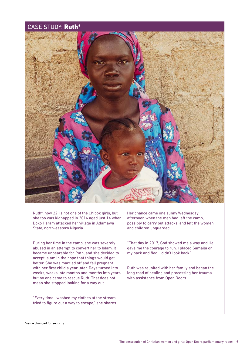#### CASE STUDY: Ruth\*



Ruth\*, now 22, is not one of the Chibok girls, but she too was kidnapped in 2014 aged just 14 when Boko Haram attacked her village in Adamawa State, north-eastern Nigeria.

During her time in the camp, she was severely abused in an attempt to convert her to Islam. It became unbearable for Ruth, and she decided to accept Islam in the hope that things would get better. She was married off and fell pregnant with her first child a year later. Days turned into weeks, weeks into months and months into years, but no one came to rescue Ruth. That does not mean she stopped looking for a way out.

"Every time I washed my clothes at the stream, I tried to figure out a way to escape," she shares.

Her chance came one sunny Wednesday afternoon when the men had left the camp, possibly to carry out attacks, and left the women and children unguarded.

"That day in 2017, God showed me a way and He gave me the courage to run. I placed Samaila on my back and fled. I didn't look back."

Ruth was reunited with her family and began the long road of healing and processing her trauma with assistance from Open Doors.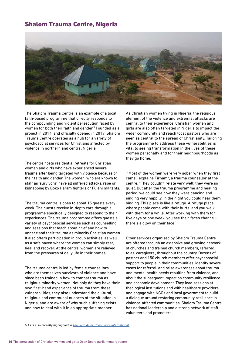#### Shalom Trauma Centre, Nigeria



The Shalom Trauma Centre is an example of a local faith-based programme that directly responds to the compounding and violent persecution faced by women for both their faith and gender.<sup>5</sup> Founded as a project in 2014, and officially opened in 2019, Shalom Trauma Centre operates as a hub for a variety of psychosocial services for Christians affected by violence in northern and central Nigeria.

The centre hosts residential retreats for Christian women and girls who have experienced severe trauma after being targeted with violence because of their faith and gender. The women, who are known to staff as 'survivors', have all suffered attacks, rape or kidnapping by Boko Haram fighters or Fulani militants.

The trauma centre is open to about 15 quests every week. The guests receive in-depth care through a programme specifically designed to respond to their experiences. The trauma programme offers guests a variety of psychosocial services such as counselling and sessions that teach about grief and how to understand their trauma as minority Christian women. It also offers participation in group activities, as well as a safe haven where the women can simply rest, heal and recover. At the centre, women are relieved from the pressures of daily life in their homes.

The trauma centre is led by female counsellors who are themselves survivors of violence and have since been trained in how to combat trauma as religious minority women. Not only do they have their own first-hand experience of trauma from these vulnerabilities, they also understand the cultural, religious and communal nuances of the situation in Nigeria, and are aware of why such suffering exists and how to deal with it in an appropriate manner.

As Christian women living in Nigeria, the religious element of the violence and extremist attacks are central to their experience. Christian women and girls are also often targeted in Nigeria to impact the wider community and reach local pastors who are seen as central to the spread of Christianity. Tailoring the programme to address these vulnerabilities is vital to seeing transformation in the lives of these women personally and for their neighbourhoods as they go home.

 "Most of the women were very sober when they first came," explains Tirham\*, a trauma counsellor at the centre. "They couldn't relate very well; they were so quiet. But after the trauma programme and healing period, we could see how they were dancing and singing very happily. In the night you could hear them singing. This place is like a refuge. A refuge place where people come with their hurts, and you walk with them for a while. After working with them for five days or one week, you see their faces change – there's a glow on their face."

Other services organised by Shalom Trauma Centre are offered through an extensive and growing network of churches and trained church members, referred to as 'caregivers', throughout the country. Dozens of pastors and 150 church members offer psychosocial support to people in their communities, identify severe cases for referral, and raise awareness about trauma and mental health needs resulting from violence, and about the subsequent impact on community resilience and economic development. They lead sessions at theological institutions and with healthcare providers, and engage with NGOs and local government to build a dialogue around restoring community resilience in violence-affected communities. Shalom Trauma Centre has national leadership and a strong network of staff, volunteers and promoters.

**<sup>5</sup>** *As is also recently highlighted in [The Faith Actor, Open Doors International.](http://The Faith Actor, Open Doors International.)*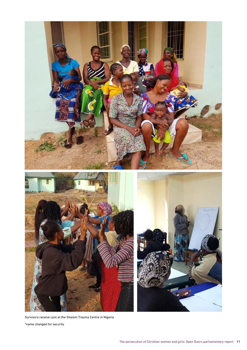

Survivors receive care at the Shalom Trauma Centre in Nigeria

\*name changed for security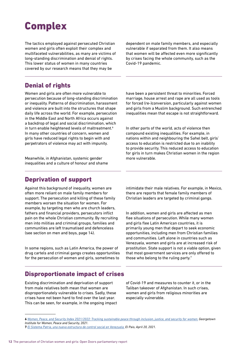# **Complex**

The tactics employed against persecuted Christian women and girls often exploit their complex and multifaceted vulnerabilities, as many are victims of long-standing discrimination and denial of rights. This lower status of women in many countries covered by our research means that they may be

dependent on male family members, and especially vulnerable if separated from them. It also means that women will be affected even more significantly by crises facing the whole community, such as the Covid-19 pandemic.

#### Denial of rights

Women and girls are often more vulnerable to persecution because of long-standing discrimination or inequality. Patterns of discrimination, harassment and violence are built into the structures that shape daily life across the world. For example, persecution in the Middle East and North Africa occurs against a backdrop of legal and social discrimination, which in turn enable heightened levels of maltreatment.<sup>6</sup> In many other countries of concern, women and girls have reduced legal rights to begin with and perpetrators of violence may act with impunity.

Meanwhile, in Afghanistan, systemic gender inequalities and a culture of honour and shame have been a persistent threat to minorities. Forced marriage, house arrest and rape are all used as tools for forced (re-)conversion, particularly against women and girls from a Muslim background. Such entrenched inequalities mean that escape is not straightforward.

In other parts of the world, acts of violence then compound existing inequalities. For example, in nations within and neighbouring the Sahel belt, girls' access to education is restricted due to an inability to provide security. This reduced access to education for girls in turn makes Christian women in the region more vulnerable.

#### Deprivation of support

Against this background of inequality, women are often more reliant on male family members for support. The persecution and killing of these family members worsen the situation for women. For example, by targeting men who are church leaders, fathers and financial providers, persecutors inflict pain on the whole Christian community. By recruiting men into militias and criminal groups, families and communities are left traumatised and defenceless (see section on men and boys, page 14).

In some regions, such as Latin America, the power of drug cartels and criminal gangs creates opportunities for the persecution of women and girls, sometimes to

intimidate their male relatives. For example, in Mexico, there are reports that female family members of Christian leaders are targeted by criminal gangs.

In addition, women and girls are affected as men flee situations of persecution. While many women and girls flee Latin American countries, it is primarily young men that depart to seek economic opportunities, including men from Christian families and communities. Left alone in countries such as Venezuela, women and girls are at increased risk of prostitution. State support is not a viable option, given that most government services are only offered to those who belong to the ruling party. $7$ 

#### Disproportionate impact of crises

Existing discrimination and deprivation of support from male relatives both mean that women are disproportionately vulnerable to crises. Sadly, these crises have not been hard to find over the last year. This can be seen, for example, in the ongoing impact of Covid-19 and measures to counter it, or in the Taliban takeover of Afghanistan. In such crises, women and girls from religious minorities are especially vulnerable.

**<sup>6</sup>** *[Women, Peace, and Security Index 2021/2022: Tracking sustainable peace through inclusion, justice, and security for women.](http://Women, Peace, and Security Index 2021/2022: Tracking sustainable peace through inclusion, justice, and security for women.) Georgetown Institute for Women, Peace and Security, 2021.*

**<sup>7</sup>** *[El Sistema Patria, una nueva estructura de control social en Venezuela.](http://El Sistema Patria, una nueva estructura de control social en Venezuela.) El Pais, April 20, 2021.*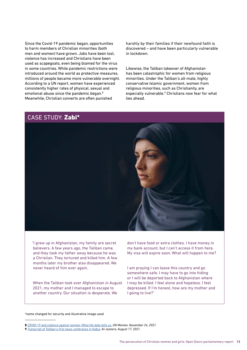Since the Covid-19 pandemic began, opportunities to harm members of Christian minorities (both men and women) have grown. Jobs have been lost, violence has increased and Christians have been used as scapegoats, even being blamed for the virus in some countries. While pandemic restrictions were introduced around the world as protective measures, millions of people became more vulnerable overnight. According to a UN report, women have experienced consistently higher rates of physical, sexual and emotional abuse since the pandemic began.<sup>8</sup> Meanwhile, Christian converts are often punished

harshly by their families if their newfound faith is discovered – and have been particularly vulnerable in lockdown.

Likewise, the Taliban takeover of Afghanistan has been catastrophic for women from religious minorities. Under the Taliban's all-male, highly conservative Islamic government, women from religious minorities, such as Christianity, are especially vulnerable.<sup>9</sup> Christians now fear for what lies ahead.



"I grew up in Afghanistan, my family are secret believers. A few years ago, the Taliban came, and they took my father away because he was a Christian. They tortured and killed him. A few months later my brother also disappeared. We never heard of him ever again.

When the Taliban took over Afghanistan in August 2021, my mother and I managed to escape to another country. Our situation is desperate. We

don't have food or extra clothes. I have money in my bank account, but I can't access it from here. My visa will expire soon. What will happen to me?

I am praying I can leave this country and go somewhere safe. I may have to go into hiding or I will be deported back to Afghanistan where I may be killed. I feel alone and hopeless. I feel depressed. If I'm honest, how are my mother and I going to live?"

\*name changed for security and illustrative image used

**<sup>8</sup>** *<COVID-19 and violence against women: What the data tells us.>UN Women, November 24, 2021.*

**<sup>9</sup>** *[Transcript of Taliban's first news conference in Kabul.](http://Transcript of Taliban’s first news conference in Kabul.) Al-Jazeera, August 17, 2021.*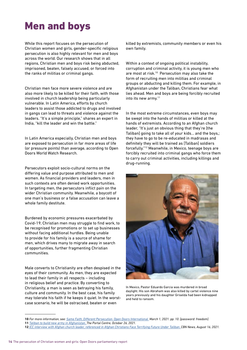# Men and boys

While this report focuses on the persecution of Christian women and girls, gender-specific religious persecution is also highly relevant for men and boys across the world. Our research shows that in all regions, Christian men and boys risk being abducted, imprisoned, beaten, falsely accused, or forced into the ranks of militias or criminal gangs.

Christian men face more severe violence and are also more likely to be killed for their faith, with those involved in church leadership being particularly vulnerable. In Latin America, efforts by church leaders to assist those addicted to drugs and involved in gangs can lead to threats and violence against the leaders. "It's a simple principle," shares an expert in India, "kill the leader and win the battle."

In Latin America especially, Christian men and boys are exposed to persecution in far more areas of life (or pressure points) than average, according to Open Doors World Watch Research.

Persecutors exploit socio-cultural norms on the differing value and purpose attributed to men and women. As financial providers and leaders, men in such contexts are often denied work opportunities. In targeting men, the persecutors inflict pain on the wider Christian community. Meanwhile, a boycott of one man's business or a false accusation can leave a whole family destitute.

Burdened by economic pressures exacerbated by Covid-19, Christian men may struggle to find work, to be recognised for promotions or to set up businesses without facing additional hurdles. Being unable to provide for his family is a source of shame for men, which drives many to migrate away in search of opportunities, further fragmenting Christian communities.

Male converts to Christianity are often despised in the eyes of their community. As men, they are expected to lead their family in all respects – including in religious belief and practice. By converting to Christianity, a man is seen as betraying his family, culture and community. In the best case, his family may tolerate his faith if he keeps it quiet. In the worstcase scenario, he will be ostracised, beaten or even

killed by extremists, community members or even his own family.

Within a context of ongoing political instability, corruption and criminal activity, it is young men who are most at risk.<sup>10</sup> Persecution may also take the form of recruiting men into militias and criminal groups or abducting and killing them. For example, in Afghanistan under the Taliban, Christians fear what lies ahead. Men and boys are being forcibly recruited into its new army.<sup>11</sup>

In the most extreme circumstances, even boys may be swept into the hands of militias or killed at the hands of extremists. According to an Afghan church leader, "It's just an obvious thing that they're [the Taliban] going to take all of your kids… and the boys,; they have to go to be re-educated in madrasas and definitely they will be trained as [Taliban] soldiers forcefully."12 Meanwhile, in Mexico, teenage boys are forcibly recruited into criminal gangs who force them to carry out criminal activities, including killings and drug-running.



In Mexico, Pastor Eduardo Garcia was murdered in broad daylight. His son Abraham was also killed by cartel violence nine years previously and his daughter Griselda had been kidnapped and held to ransom.

**<sup>10</sup>** *For more information, see: [Same Faith, Different Persecution. Open Doors International.](http://Same Faith, Different Persecution. Open Doors International.) March 1, 2021. pp. 10. [password: freedom].*

**<sup>11</sup>** *[Taliban to build new army in Afghanistan. T](http://Taliban to build new army in Afghanistan. )he Portal Centre, October 26, 2021.* 

**<sup>12</sup>** *[ICC interview with Afghan church leader, referenced in Afghan Christians Face Terrifying Future Under Taliban.](http:// ICC interview with Afghan church leader, referenced in Afghan Christians Face Terrifying Future Under Taliban. ) CBN News, August 16, 2021.*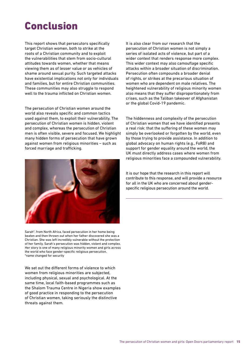## Conclusion

This report shows that persecutors specifically target Christian women, both to strike at the roots of a Christian community and to exploit the vulnerabilities that stem from socio-cultural attitudes towards women, whether that means viewing them as of lesser value or as vehicles of shame around sexual purity. Such targeted attacks have existential implications not only for individuals and families, but for entire Christian communities. These communities may also struggle to respond well to the trauma inflicted on Christian women.

The persecution of Christian women around the world also reveals specific and common tactics used against them, to exploit their vulnerability. The persecution of Christian women is hidden, violent and complex, whereas the persecution of Christian men is often visible, severe and focused. We highlight many hidden forms of persecution that have grown against women from religious minorities – such as forced marriage and trafficking.



Sarah\*, from North Africa, faced persecution in her home being beaten and then thrown out when her father discovered she was a Christian. She was left incredibly vulnerable without the protection of her family. Sarah's persecution was hidden, violent and complex. Her story is one of many religious minority women and girls across the world who face gender-specific religious persecution. \*name changed for security

We set out the different forms of violence to which women from religious minorities are subjected, including physical, sexual and psychological. At the same time, local faith-based programmes such as the Shalom Trauma Centre in Nigeria show examples of good practice in responding to the persecution of Christian women, taking seriously the distinctive threats against them.

It is also clear from our research that the persecution of Christian women is not simply a series of isolated acts of violence, but part of a wider context that renders response more complex. This wider context may also camouflage specific attacks within a broader situation of discrimination. Persecution often compounds a broader denial of rights, or strikes at the precarious situation of women who are dependent on male relatives. The heightened vulnerability of religious minority women also means that they suffer disproportionately from crises, such as the Taliban takeover of Afghanistan or the global Covid-19 pandemic.

The hiddenness and complexity of the persecution of Christian women that we have identified presents a real risk: that the suffering of these women may simply be overlooked or forgotten by the world, even by those trying to provide assistance. In addition to global advocacy on human rights (e.g., FoRB) and support for gender equality around the world, the UK must directly address cases where women from religious minorities face a compounded vulnerability.

It is our hope that the research in this report will contribute to this response, and will provide a resource for all in the UK who are concerned about genderspecific religious persecution around the world.